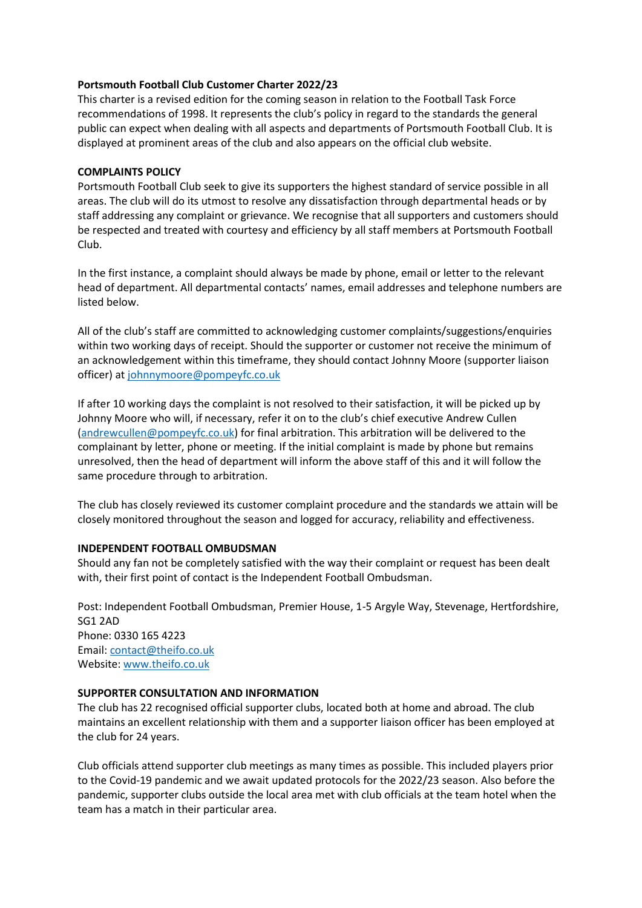# **Portsmouth Football Club Customer Charter 2022/23**

This charter is a revised edition for the coming season in relation to the Football Task Force recommendations of 1998. It represents the club's policy in regard to the standards the general public can expect when dealing with all aspects and departments of Portsmouth Football Club. It is displayed at prominent areas of the club and also appears on the official club website.

# **COMPLAINTS POLICY**

Portsmouth Football Club seek to give its supporters the highest standard of service possible in all areas. The club will do its utmost to resolve any dissatisfaction through departmental heads or by staff addressing any complaint or grievance. We recognise that all supporters and customers should be respected and treated with courtesy and efficiency by all staff members at Portsmouth Football Club.

In the first instance, a complaint should always be made by phone, email or letter to the relevant head of department. All departmental contacts' names, email addresses and telephone numbers are listed below.

All of the club's staff are committed to acknowledging customer complaints/suggestions/enquiries within two working days of receipt. Should the supporter or customer not receive the minimum of an acknowledgement within this timeframe, they should contact Johnny Moore (supporter liaison officer) at [johnnymoore@pompeyfc.co.uk](mailto:johnnymoore@pompeyfc.co.uk)

If after 10 working days the complaint is not resolved to their satisfaction, it will be picked up by Johnny Moore who will, if necessary, refer it on to the club's chief executive Andrew Cullen [\(andrewcullen@pompeyfc.co.uk\)](mailto:andrewcullen@pompeyfc.co.uk) for final arbitration. This arbitration will be delivered to the complainant by letter, phone or meeting. If the initial complaint is made by phone but remains unresolved, then the head of department will inform the above staff of this and it will follow the same procedure through to arbitration.

The club has closely reviewed its customer complaint procedure and the standards we attain will be closely monitored throughout the season and logged for accuracy, reliability and effectiveness.

# **INDEPENDENT FOOTBALL OMBUDSMAN**

Should any fan not be completely satisfied with the way their complaint or request has been dealt with, their first point of contact is the Independent Football Ombudsman.

Post: Independent Football Ombudsman, Premier House, 1-5 Argyle Way, Stevenage, Hertfordshire, SG1 2AD Phone: 0330 165 4223 Email: [contact@theifo.co.uk](mailto:contact@theifo.co.uk) Website[: www.theifo.co.uk](http://www.theifo.co.uk/)

# **SUPPORTER CONSULTATION AND INFORMATION**

The club has 22 recognised official supporter clubs, located both at home and abroad. The club maintains an excellent relationship with them and a supporter liaison officer has been employed at the club for 24 years.

Club officials attend supporter club meetings as many times as possible. This included players prior to the Covid-19 pandemic and we await updated protocols for the 2022/23 season. Also before the pandemic, supporter clubs outside the local area met with club officials at the team hotel when the team has a match in their particular area.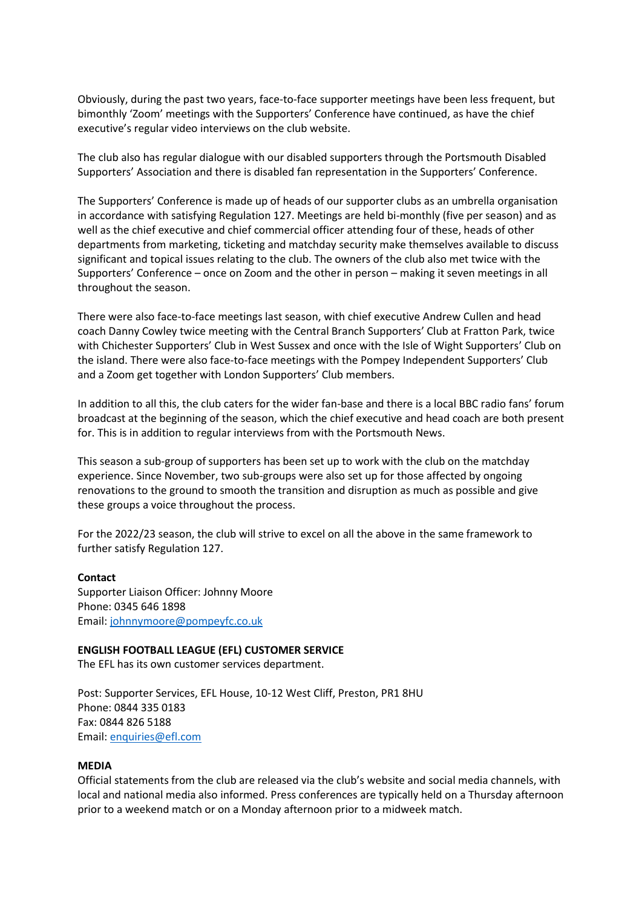Obviously, during the past two years, face-to-face supporter meetings have been less frequent, but bimonthly 'Zoom' meetings with the Supporters' Conference have continued, as have the chief executive's regular video interviews on the club website.

The club also has regular dialogue with our disabled supporters through the Portsmouth Disabled Supporters' Association and there is disabled fan representation in the Supporters' Conference.

The Supporters' Conference is made up of heads of our supporter clubs as an umbrella organisation in accordance with satisfying Regulation 127. Meetings are held bi-monthly (five per season) and as well as the chief executive and chief commercial officer attending four of these, heads of other departments from marketing, ticketing and matchday security make themselves available to discuss significant and topical issues relating to the club. The owners of the club also met twice with the Supporters' Conference – once on Zoom and the other in person – making it seven meetings in all throughout the season.

There were also face-to-face meetings last season, with chief executive Andrew Cullen and head coach Danny Cowley twice meeting with the Central Branch Supporters' Club at Fratton Park, twice with Chichester Supporters' Club in West Sussex and once with the Isle of Wight Supporters' Club on the island. There were also face-to-face meetings with the Pompey Independent Supporters' Club and a Zoom get together with London Supporters' Club members.

In addition to all this, the club caters for the wider fan-base and there is a local BBC radio fans' forum broadcast at the beginning of the season, which the chief executive and head coach are both present for. This is in addition to regular interviews from with the Portsmouth News.

This season a sub-group of supporters has been set up to work with the club on the matchday experience. Since November, two sub-groups were also set up for those affected by ongoing renovations to the ground to smooth the transition and disruption as much as possible and give these groups a voice throughout the process.

For the 2022/23 season, the club will strive to excel on all the above in the same framework to further satisfy Regulation 127.

## **Contact**

Supporter Liaison Officer: Johnny Moore Phone: 0345 646 1898 Email: [johnnymoore@pompeyfc.co.uk](mailto:johnnymoore@pompeyfc.co.uk)

## **ENGLISH FOOTBALL LEAGUE (EFL) CUSTOMER SERVICE**

The EFL has its own customer services department.

Post: Supporter Services, EFL House, 10-12 West Cliff, Preston, PR1 8HU Phone: 0844 335 0183 Fax: 0844 826 5188 Email: [enquiries@efl.com](mailto:enquiries@efl.com)

## **MEDIA**

Official statements from the club are released via the club's website and social media channels, with local and national media also informed. Press conferences are typically held on a Thursday afternoon prior to a weekend match or on a Monday afternoon prior to a midweek match.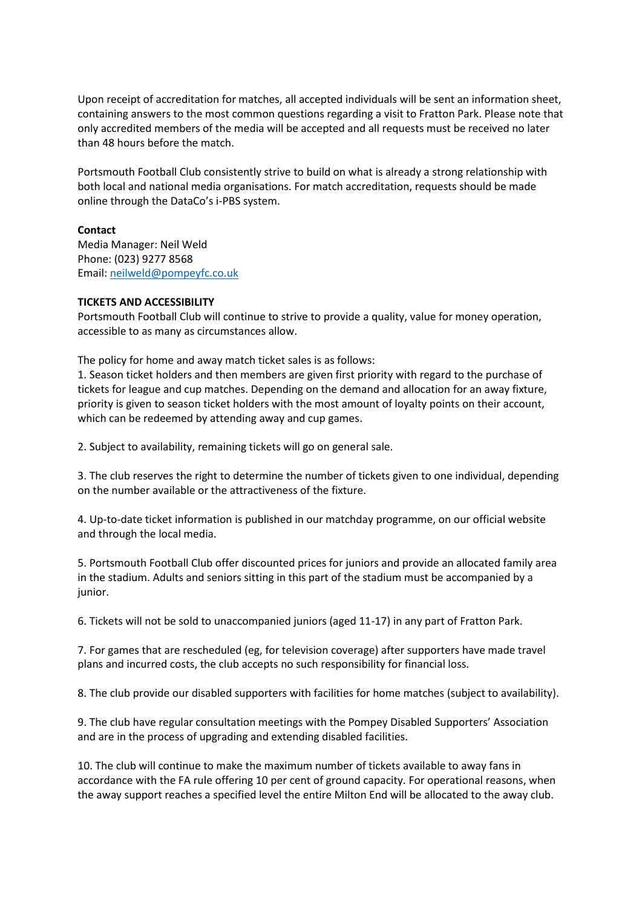Upon receipt of accreditation for matches, all accepted individuals will be sent an information sheet, containing answers to the most common questions regarding a visit to Fratton Park. Please note that only accredited members of the media will be accepted and all requests must be received no later than 48 hours before the match.

Portsmouth Football Club consistently strive to build on what is already a strong relationship with both local and national media organisations. For match accreditation, requests should be made online through the DataCo's i-PBS system.

# **Contact**

Media Manager: Neil Weld Phone: (023) 9277 8568 Email: [neilweld@pompeyfc.co.uk](mailto:neilweld@pompeyfc.co.uk)

# **TICKETS AND ACCESSIBILITY**

Portsmouth Football Club will continue to strive to provide a quality, value for money operation, accessible to as many as circumstances allow.

The policy for home and away match ticket sales is as follows:

1. Season ticket holders and then members are given first priority with regard to the purchase of tickets for league and cup matches. Depending on the demand and allocation for an away fixture, priority is given to season ticket holders with the most amount of loyalty points on their account, which can be redeemed by attending away and cup games.

2. Subject to availability, remaining tickets will go on general sale.

3. The club reserves the right to determine the number of tickets given to one individual, depending on the number available or the attractiveness of the fixture.

4. Up-to-date ticket information is published in our matchday programme, on our official website and through the local media.

5. Portsmouth Football Club offer discounted prices for juniors and provide an allocated family area in the stadium. Adults and seniors sitting in this part of the stadium must be accompanied by a junior.

6. Tickets will not be sold to unaccompanied juniors (aged 11-17) in any part of Fratton Park.

7. For games that are rescheduled (eg, for television coverage) after supporters have made travel plans and incurred costs, the club accepts no such responsibility for financial loss.

8. The club provide our disabled supporters with facilities for home matches (subject to availability).

9. The club have regular consultation meetings with the Pompey Disabled Supporters' Association and are in the process of upgrading and extending disabled facilities.

10. The club will continue to make the maximum number of tickets available to away fans in accordance with the FA rule offering 10 per cent of ground capacity. For operational reasons, when the away support reaches a specified level the entire Milton End will be allocated to the away club.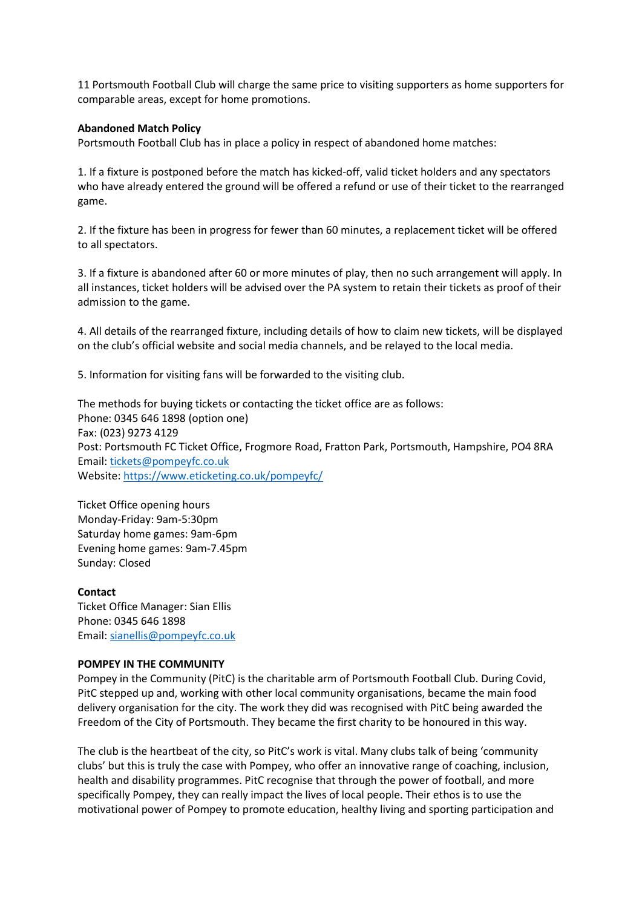11 Portsmouth Football Club will charge the same price to visiting supporters as home supporters for comparable areas, except for home promotions.

## **Abandoned Match Policy**

Portsmouth Football Club has in place a policy in respect of abandoned home matches:

1. If a fixture is postponed before the match has kicked-off, valid ticket holders and any spectators who have already entered the ground will be offered a refund or use of their ticket to the rearranged game.

2. If the fixture has been in progress for fewer than 60 minutes, a replacement ticket will be offered to all spectators.

3. If a fixture is abandoned after 60 or more minutes of play, then no such arrangement will apply. In all instances, ticket holders will be advised over the PA system to retain their tickets as proof of their admission to the game.

4. All details of the rearranged fixture, including details of how to claim new tickets, will be displayed on the club's official website and social media channels, and be relayed to the local media.

5. Information for visiting fans will be forwarded to the visiting club.

The methods for buying tickets or contacting the ticket office are as follows: Phone: 0345 646 1898 (option one) Fax: (023) 9273 4129 Post: Portsmouth FC Ticket Office, Frogmore Road, Fratton Park, Portsmouth, Hampshire, PO4 8RA Email: [tickets@pompeyfc.co.uk](mailto:tickets@pompeyfc.co.uk) Website[: https://www.eticketing.co.uk/pompeyfc/](https://www.eticketing.co.uk/pompeyfc/)

Ticket Office opening hours Monday-Friday: 9am-5:30pm Saturday home games: 9am-6pm Evening home games: 9am-7.45pm Sunday: Closed

## **Contact**

Ticket Office Manager: Sian Ellis Phone: 0345 646 1898 Email: [sianellis@pompeyfc.co.uk](mailto:sianellis@pompeyfc.co.uk)

## **POMPEY IN THE COMMUNITY**

Pompey in the Community (PitC) is the charitable arm of Portsmouth Football Club. During Covid, PitC stepped up and, working with other local community organisations, became the main food delivery organisation for the city. The work they did was recognised with PitC being awarded the Freedom of the City of Portsmouth. They became the first charity to be honoured in this way.

The club is the heartbeat of the city, so PitC's work is vital. Many clubs talk of being 'community clubs' but this is truly the case with Pompey, who offer an innovative range of coaching, inclusion, health and disability programmes. PitC recognise that through the power of football, and more specifically Pompey, they can really impact the lives of local people. Their ethos is to use the motivational power of Pompey to promote education, healthy living and sporting participation and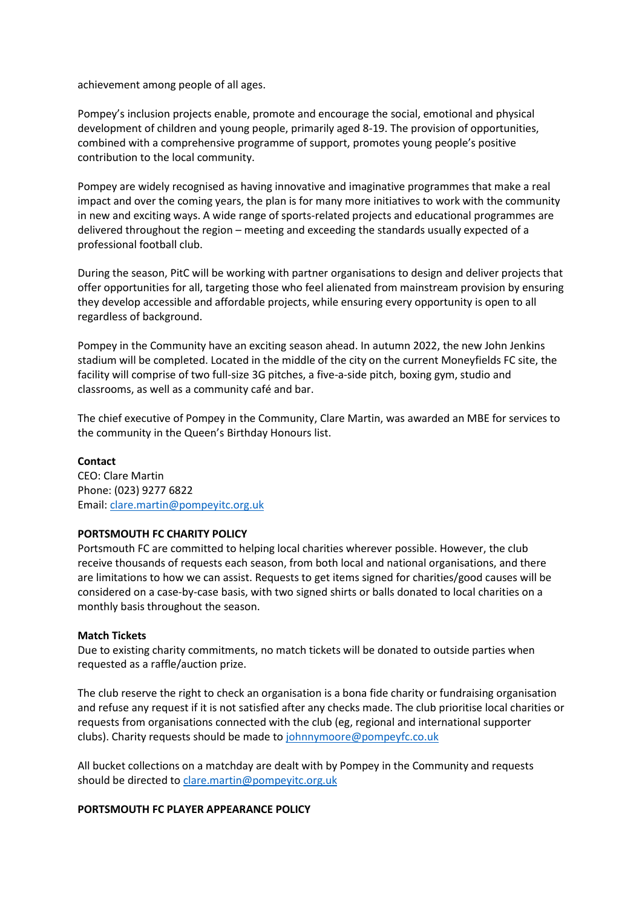achievement among people of all ages.

Pompey's inclusion projects enable, promote and encourage the social, emotional and physical development of children and young people, primarily aged 8-19. The provision of opportunities, combined with a comprehensive programme of support, promotes young people's positive contribution to the local community.

Pompey are widely recognised as having innovative and imaginative programmes that make a real impact and over the coming years, the plan is for many more initiatives to work with the community in new and exciting ways. A wide range of sports-related projects and educational programmes are delivered throughout the region – meeting and exceeding the standards usually expected of a professional football club.

During the season, PitC will be working with partner organisations to design and deliver projects that offer opportunities for all, targeting those who feel alienated from mainstream provision by ensuring they develop accessible and affordable projects, while ensuring every opportunity is open to all regardless of background.

Pompey in the Community have an exciting season ahead. In autumn 2022, the new John Jenkins stadium will be completed. Located in the middle of the city on the current Moneyfields FC site, the facility will comprise of two full-size 3G pitches, a five-a-side pitch, boxing gym, studio and classrooms, as well as a community café and bar.

The chief executive of Pompey in the Community, Clare Martin, was awarded an MBE for services to the community in the Queen's Birthday Honours list.

# **Contact**

CEO: Clare Martin Phone: (023) 9277 6822 Email: [clare.martin@pompeyitc.org.uk](mailto:clare.martin@pompeyitc.org.uk)

# **PORTSMOUTH FC CHARITY POLICY**

Portsmouth FC are committed to helping local charities wherever possible. However, the club receive thousands of requests each season, from both local and national organisations, and there are limitations to how we can assist. Requests to get items signed for charities/good causes will be considered on a case-by-case basis, with two signed shirts or balls donated to local charities on a monthly basis throughout the season.

## **Match Tickets**

Due to existing charity commitments, no match tickets will be donated to outside parties when requested as a raffle/auction prize.

The club reserve the right to check an organisation is a bona fide charity or fundraising organisation and refuse any request if it is not satisfied after any checks made. The club prioritise local charities or requests from organisations connected with the club (eg, regional and international supporter clubs). Charity requests should be made to [johnnymoore@pompeyfc.co.uk](mailto:johnnymoore@pompeyfc.co.uk)

All bucket collections on a matchday are dealt with by Pompey in the Community and requests should be directed to [clare.martin@pompeyitc.org.uk](mailto:clare.martin@pompeyitc.org.uk)

## **PORTSMOUTH FC PLAYER APPEARANCE POLICY**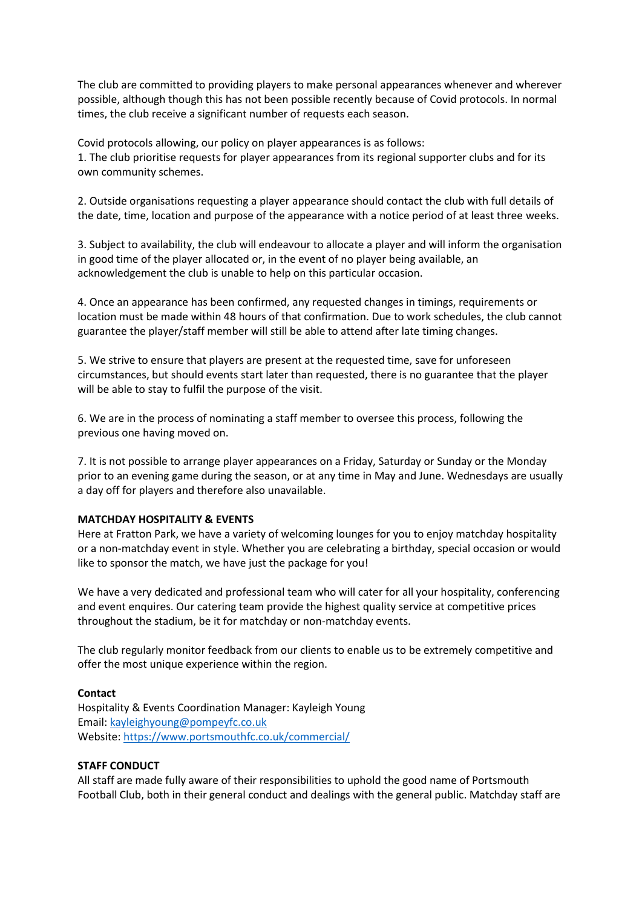The club are committed to providing players to make personal appearances whenever and wherever possible, although though this has not been possible recently because of Covid protocols. In normal times, the club receive a significant number of requests each season.

Covid protocols allowing, our policy on player appearances is as follows: 1. The club prioritise requests for player appearances from its regional supporter clubs and for its own community schemes.

2. Outside organisations requesting a player appearance should contact the club with full details of the date, time, location and purpose of the appearance with a notice period of at least three weeks.

3. Subject to availability, the club will endeavour to allocate a player and will inform the organisation in good time of the player allocated or, in the event of no player being available, an acknowledgement the club is unable to help on this particular occasion.

4. Once an appearance has been confirmed, any requested changes in timings, requirements or location must be made within 48 hours of that confirmation. Due to work schedules, the club cannot guarantee the player/staff member will still be able to attend after late timing changes.

5. We strive to ensure that players are present at the requested time, save for unforeseen circumstances, but should events start later than requested, there is no guarantee that the player will be able to stay to fulfil the purpose of the visit.

6. We are in the process of nominating a staff member to oversee this process, following the previous one having moved on.

7. It is not possible to arrange player appearances on a Friday, Saturday or Sunday or the Monday prior to an evening game during the season, or at any time in May and June. Wednesdays are usually a day off for players and therefore also unavailable.

# **MATCHDAY HOSPITALITY & EVENTS**

Here at Fratton Park, we have a variety of welcoming lounges for you to enjoy matchday hospitality or a non-matchday event in style. Whether you are celebrating a birthday, special occasion or would like to sponsor the match, we have just the package for you!

We have a very dedicated and professional team who will cater for all your hospitality, conferencing and event enquires. Our catering team provide the highest quality service at competitive prices throughout the stadium, be it for matchday or non-matchday events.

The club regularly monitor feedback from our clients to enable us to be extremely competitive and offer the most unique experience within the region.

## **Contact**

Hospitality & Events Coordination Manager: Kayleigh Young Email: [kayleighyoung@pompeyfc.co.uk](mailto:kayleighyoung@pompeyfc.co.uk) Website[: https://www.portsmouthfc.co.uk/commercial/](https://www.portsmouthfc.co.uk/commercial/)

## **STAFF CONDUCT**

All staff are made fully aware of their responsibilities to uphold the good name of Portsmouth Football Club, both in their general conduct and dealings with the general public. Matchday staff are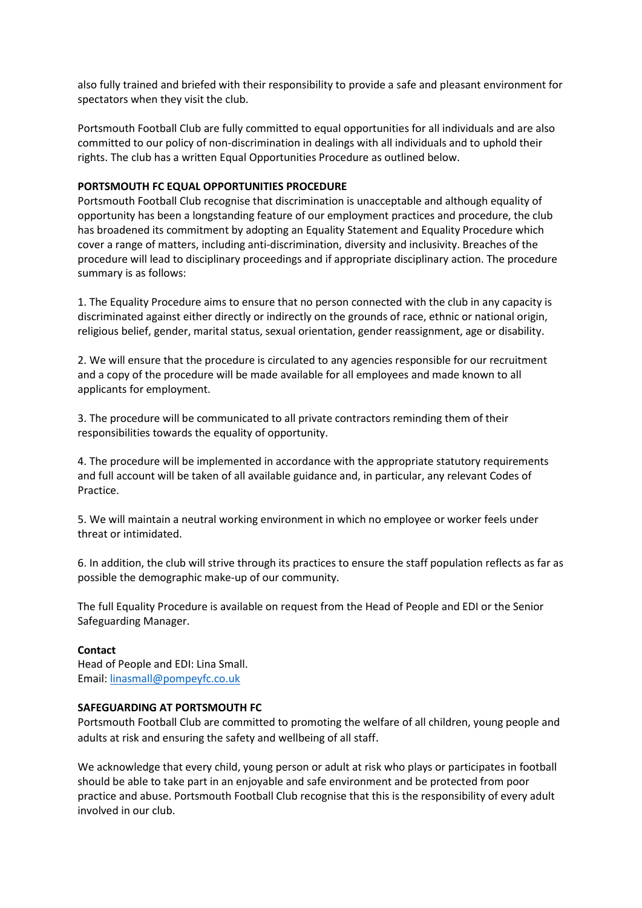also fully trained and briefed with their responsibility to provide a safe and pleasant environment for spectators when they visit the club.

Portsmouth Football Club are fully committed to equal opportunities for all individuals and are also committed to our policy of non-discrimination in dealings with all individuals and to uphold their rights. The club has a written Equal Opportunities Procedure as outlined below.

# **PORTSMOUTH FC EQUAL OPPORTUNITIES PROCEDURE**

Portsmouth Football Club recognise that discrimination is unacceptable and although equality of opportunity has been a longstanding feature of our employment practices and procedure, the club has broadened its commitment by adopting an Equality Statement and Equality Procedure which cover a range of matters, including anti-discrimination, diversity and inclusivity. Breaches of the procedure will lead to disciplinary proceedings and if appropriate disciplinary action. The procedure summary is as follows:

1. The Equality Procedure aims to ensure that no person connected with the club in any capacity is discriminated against either directly or indirectly on the grounds of race, ethnic or national origin, religious belief, gender, marital status, sexual orientation, gender reassignment, age or disability.

2. We will ensure that the procedure is circulated to any agencies responsible for our recruitment and a copy of the procedure will be made available for all employees and made known to all applicants for employment.

3. The procedure will be communicated to all private contractors reminding them of their responsibilities towards the equality of opportunity.

4. The procedure will be implemented in accordance with the appropriate statutory requirements and full account will be taken of all available guidance and, in particular, any relevant Codes of Practice.

5. We will maintain a neutral working environment in which no employee or worker feels under threat or intimidated.

6. In addition, the club will strive through its practices to ensure the staff population reflects as far as possible the demographic make-up of our community.

The full Equality Procedure is available on request from the Head of People and EDI or the Senior Safeguarding Manager.

## **Contact**

Head of People and EDI: Lina Small. Email: [linasmall@pompeyfc.co.uk](mailto:linasmall@pompeyfc.co.uk)

## **SAFEGUARDING AT PORTSMOUTH FC**

Portsmouth Football Club are committed to promoting the welfare of all children, young people and adults at risk and ensuring the safety and wellbeing of all staff.

We acknowledge that every child, young person or adult at risk who plays or participates in football should be able to take part in an enjoyable and safe environment and be protected from poor practice and abuse. Portsmouth Football Club recognise that this is the responsibility of every adult involved in our club.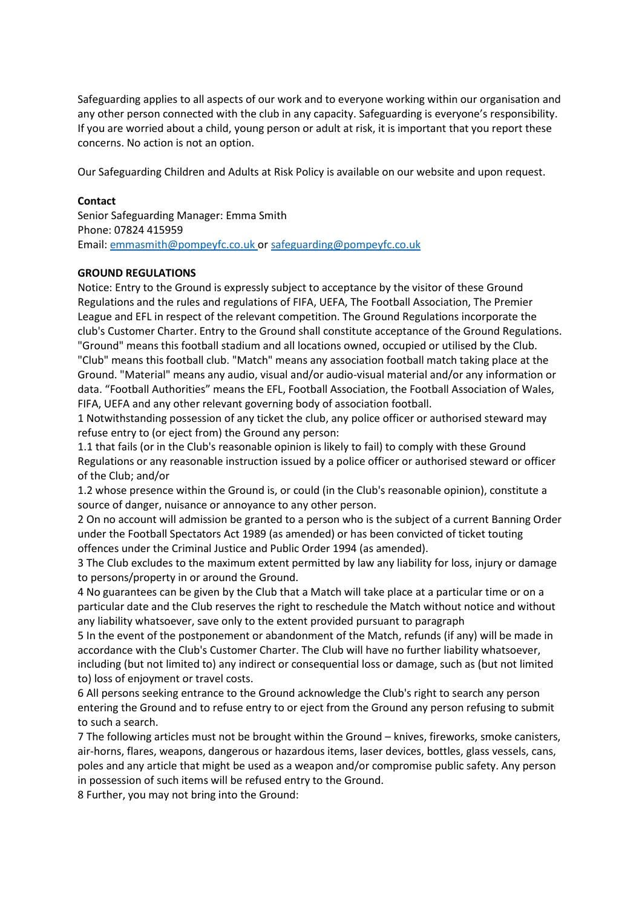Safeguarding applies to all aspects of our work and to everyone working within our organisation and any other person connected with the club in any capacity. Safeguarding is everyone's responsibility. If you are worried about a child, young person or adult at risk, it is important that you report these concerns. No action is not an option.

Our Safeguarding Children and Adults at Risk Policy is available on our website and upon request.

# **Contact**

Senior Safeguarding Manager: Emma Smith Phone: 07824 415959 Email: [emmasmith@pompeyfc.co.uk](mailto:emmasmith@pompeyfc.co.uk) or [safeguarding@pompeyfc.co.uk](mailto:safeguarding@pompeyfc.co.uk)

## **GROUND REGULATIONS**

Notice: Entry to the Ground is expressly subject to acceptance by the visitor of these Ground Regulations and the rules and regulations of FIFA, UEFA, The Football Association, The Premier League and EFL in respect of the relevant competition. The Ground Regulations incorporate the club's Customer Charter. Entry to the Ground shall constitute acceptance of the Ground Regulations. "Ground" means this football stadium and all locations owned, occupied or utilised by the Club. "Club" means this football club. "Match" means any association football match taking place at the Ground. "Material" means any audio, visual and/or audio-visual material and/or any information or data. "Football Authorities" means the EFL, Football Association, the Football Association of Wales, FIFA, UEFA and any other relevant governing body of association football.

1 Notwithstanding possession of any ticket the club, any police officer or authorised steward may refuse entry to (or eject from) the Ground any person:

1.1 that fails (or in the Club's reasonable opinion is likely to fail) to comply with these Ground Regulations or any reasonable instruction issued by a police officer or authorised steward or officer of the Club; and/or

1.2 whose presence within the Ground is, or could (in the Club's reasonable opinion), constitute a source of danger, nuisance or annoyance to any other person.

2 On no account will admission be granted to a person who is the subject of a current Banning Order under the Football Spectators Act 1989 (as amended) or has been convicted of ticket touting offences under the Criminal Justice and Public Order 1994 (as amended).

3 The Club excludes to the maximum extent permitted by law any liability for loss, injury or damage to persons/property in or around the Ground.

4 No guarantees can be given by the Club that a Match will take place at a particular time or on a particular date and the Club reserves the right to reschedule the Match without notice and without any liability whatsoever, save only to the extent provided pursuant to paragraph

5 In the event of the postponement or abandonment of the Match, refunds (if any) will be made in accordance with the Club's Customer Charter. The Club will have no further liability whatsoever, including (but not limited to) any indirect or consequential loss or damage, such as (but not limited to) loss of enjoyment or travel costs.

6 All persons seeking entrance to the Ground acknowledge the Club's right to search any person entering the Ground and to refuse entry to or eject from the Ground any person refusing to submit to such a search.

7 The following articles must not be brought within the Ground – knives, fireworks, smoke canisters, air-horns, flares, weapons, dangerous or hazardous items, laser devices, bottles, glass vessels, cans, poles and any article that might be used as a weapon and/or compromise public safety. Any person in possession of such items will be refused entry to the Ground.

8 Further, you may not bring into the Ground: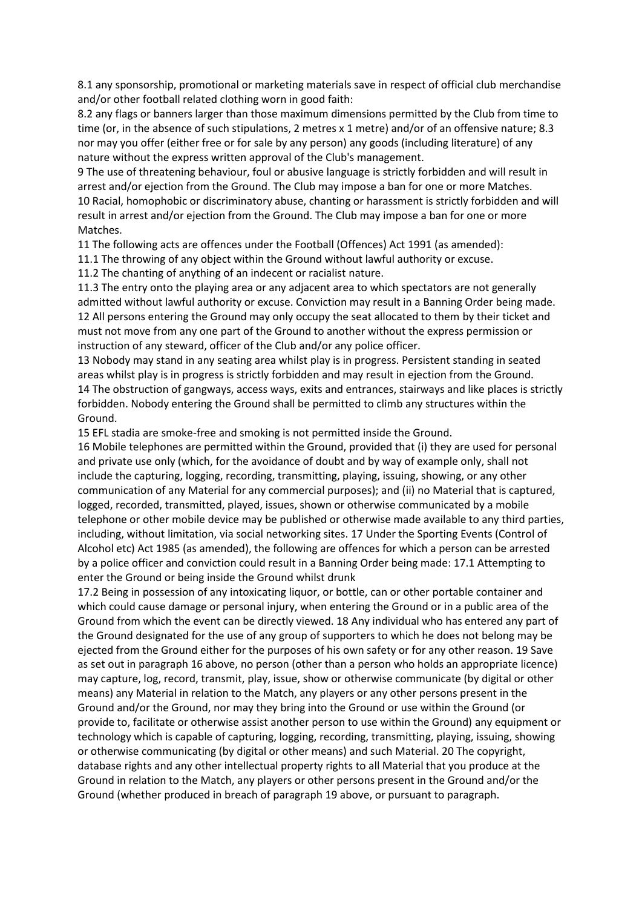8.1 any sponsorship, promotional or marketing materials save in respect of official club merchandise and/or other football related clothing worn in good faith:

8.2 any flags or banners larger than those maximum dimensions permitted by the Club from time to time (or, in the absence of such stipulations, 2 metres x 1 metre) and/or of an offensive nature; 8.3 nor may you offer (either free or for sale by any person) any goods (including literature) of any nature without the express written approval of the Club's management.

9 The use of threatening behaviour, foul or abusive language is strictly forbidden and will result in arrest and/or ejection from the Ground. The Club may impose a ban for one or more Matches. 10 Racial, homophobic or discriminatory abuse, chanting or harassment is strictly forbidden and will result in arrest and/or ejection from the Ground. The Club may impose a ban for one or more Matches.

11 The following acts are offences under the Football (Offences) Act 1991 (as amended):

11.1 The throwing of any object within the Ground without lawful authority or excuse.

11.2 The chanting of anything of an indecent or racialist nature.

11.3 The entry onto the playing area or any adjacent area to which spectators are not generally admitted without lawful authority or excuse. Conviction may result in a Banning Order being made. 12 All persons entering the Ground may only occupy the seat allocated to them by their ticket and must not move from any one part of the Ground to another without the express permission or instruction of any steward, officer of the Club and/or any police officer.

13 Nobody may stand in any seating area whilst play is in progress. Persistent standing in seated areas whilst play is in progress is strictly forbidden and may result in ejection from the Ground. 14 The obstruction of gangways, access ways, exits and entrances, stairways and like places is strictly forbidden. Nobody entering the Ground shall be permitted to climb any structures within the Ground.

15 EFL stadia are smoke-free and smoking is not permitted inside the Ground.

16 Mobile telephones are permitted within the Ground, provided that (i) they are used for personal and private use only (which, for the avoidance of doubt and by way of example only, shall not include the capturing, logging, recording, transmitting, playing, issuing, showing, or any other communication of any Material for any commercial purposes); and (ii) no Material that is captured, logged, recorded, transmitted, played, issues, shown or otherwise communicated by a mobile telephone or other mobile device may be published or otherwise made available to any third parties, including, without limitation, via social networking sites. 17 Under the Sporting Events (Control of Alcohol etc) Act 1985 (as amended), the following are offences for which a person can be arrested by a police officer and conviction could result in a Banning Order being made: 17.1 Attempting to enter the Ground or being inside the Ground whilst drunk

17.2 Being in possession of any intoxicating liquor, or bottle, can or other portable container and which could cause damage or personal injury, when entering the Ground or in a public area of the Ground from which the event can be directly viewed. 18 Any individual who has entered any part of the Ground designated for the use of any group of supporters to which he does not belong may be ejected from the Ground either for the purposes of his own safety or for any other reason. 19 Save as set out in paragraph 16 above, no person (other than a person who holds an appropriate licence) may capture, log, record, transmit, play, issue, show or otherwise communicate (by digital or other means) any Material in relation to the Match, any players or any other persons present in the Ground and/or the Ground, nor may they bring into the Ground or use within the Ground (or provide to, facilitate or otherwise assist another person to use within the Ground) any equipment or technology which is capable of capturing, logging, recording, transmitting, playing, issuing, showing or otherwise communicating (by digital or other means) and such Material. 20 The copyright, database rights and any other intellectual property rights to all Material that you produce at the Ground in relation to the Match, any players or other persons present in the Ground and/or the Ground (whether produced in breach of paragraph 19 above, or pursuant to paragraph.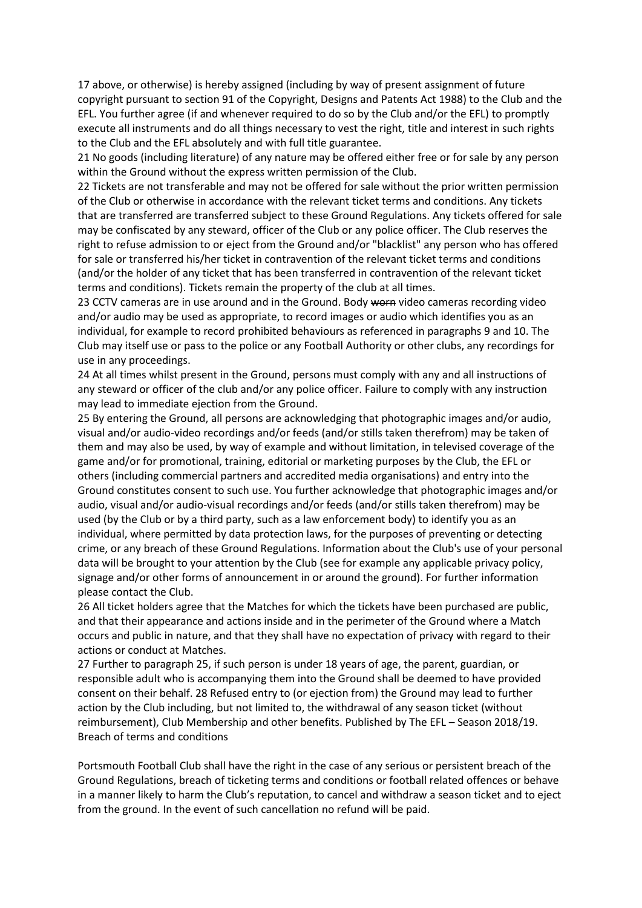17 above, or otherwise) is hereby assigned (including by way of present assignment of future copyright pursuant to section 91 of the Copyright, Designs and Patents Act 1988) to the Club and the EFL. You further agree (if and whenever required to do so by the Club and/or the EFL) to promptly execute all instruments and do all things necessary to vest the right, title and interest in such rights to the Club and the EFL absolutely and with full title guarantee.

21 No goods (including literature) of any nature may be offered either free or for sale by any person within the Ground without the express written permission of the Club.

22 Tickets are not transferable and may not be offered for sale without the prior written permission of the Club or otherwise in accordance with the relevant ticket terms and conditions. Any tickets that are transferred are transferred subject to these Ground Regulations. Any tickets offered for sale may be confiscated by any steward, officer of the Club or any police officer. The Club reserves the right to refuse admission to or eject from the Ground and/or "blacklist" any person who has offered for sale or transferred his/her ticket in contravention of the relevant ticket terms and conditions (and/or the holder of any ticket that has been transferred in contravention of the relevant ticket terms and conditions). Tickets remain the property of the club at all times.

23 CCTV cameras are in use around and in the Ground. Body worn video cameras recording video and/or audio may be used as appropriate, to record images or audio which identifies you as an individual, for example to record prohibited behaviours as referenced in paragraphs 9 and 10. The Club may itself use or pass to the police or any Football Authority or other clubs, any recordings for use in any proceedings.

24 At all times whilst present in the Ground, persons must comply with any and all instructions of any steward or officer of the club and/or any police officer. Failure to comply with any instruction may lead to immediate ejection from the Ground.

25 By entering the Ground, all persons are acknowledging that photographic images and/or audio, visual and/or audio-video recordings and/or feeds (and/or stills taken therefrom) may be taken of them and may also be used, by way of example and without limitation, in televised coverage of the game and/or for promotional, training, editorial or marketing purposes by the Club, the EFL or others (including commercial partners and accredited media organisations) and entry into the Ground constitutes consent to such use. You further acknowledge that photographic images and/or audio, visual and/or audio-visual recordings and/or feeds (and/or stills taken therefrom) may be used (by the Club or by a third party, such as a law enforcement body) to identify you as an individual, where permitted by data protection laws, for the purposes of preventing or detecting crime, or any breach of these Ground Regulations. Information about the Club's use of your personal data will be brought to your attention by the Club (see for example any applicable privacy policy, signage and/or other forms of announcement in or around the ground). For further information please contact the Club.

26 All ticket holders agree that the Matches for which the tickets have been purchased are public, and that their appearance and actions inside and in the perimeter of the Ground where a Match occurs and public in nature, and that they shall have no expectation of privacy with regard to their actions or conduct at Matches.

27 Further to paragraph 25, if such person is under 18 years of age, the parent, guardian, or responsible adult who is accompanying them into the Ground shall be deemed to have provided consent on their behalf. 28 Refused entry to (or ejection from) the Ground may lead to further action by the Club including, but not limited to, the withdrawal of any season ticket (without reimbursement), Club Membership and other benefits. Published by The EFL – Season 2018/19. Breach of terms and conditions

Portsmouth Football Club shall have the right in the case of any serious or persistent breach of the Ground Regulations, breach of ticketing terms and conditions or football related offences or behave in a manner likely to harm the Club's reputation, to cancel and withdraw a season ticket and to eject from the ground. In the event of such cancellation no refund will be paid.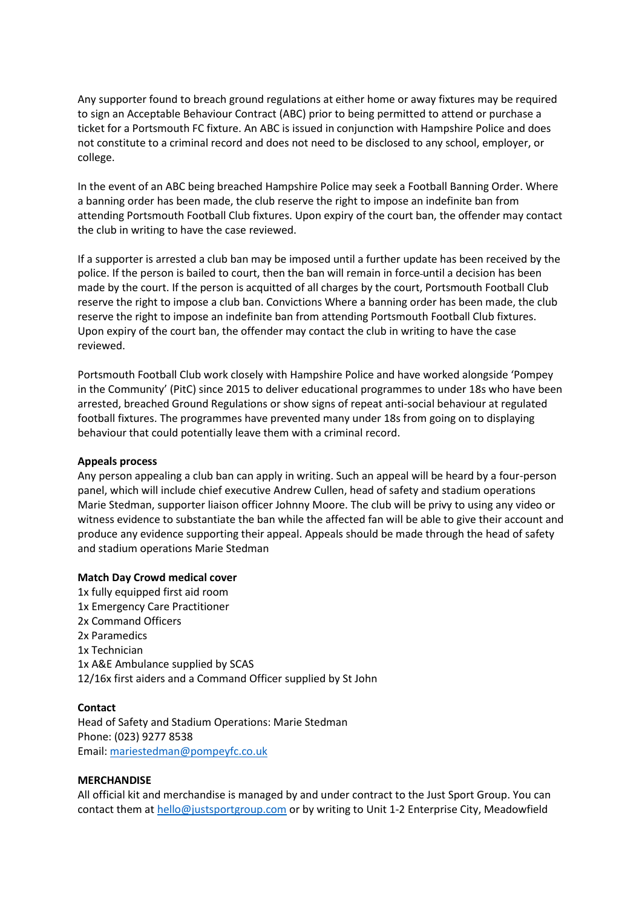Any supporter found to breach ground regulations at either home or away fixtures may be required to sign an Acceptable Behaviour Contract (ABC) prior to being permitted to attend or purchase a ticket for a Portsmouth FC fixture. An ABC is issued in conjunction with Hampshire Police and does not constitute to a criminal record and does not need to be disclosed to any school, employer, or college.

In the event of an ABC being breached Hampshire Police may seek a Football Banning Order. Where a banning order has been made, the club reserve the right to impose an indefinite ban from attending Portsmouth Football Club fixtures. Upon expiry of the court ban, the offender may contact the club in writing to have the case reviewed.

If a supporter is arrested a club ban may be imposed until a further update has been received by the police. If the person is bailed to court, then the ban will remain in force until a decision has been made by the court. If the person is acquitted of all charges by the court, Portsmouth Football Club reserve the right to impose a club ban. Convictions Where a banning order has been made, the club reserve the right to impose an indefinite ban from attending Portsmouth Football Club fixtures. Upon expiry of the court ban, the offender may contact the club in writing to have the case reviewed.

Portsmouth Football Club work closely with Hampshire Police and have worked alongside 'Pompey in the Community' (PitC) since 2015 to deliver educational programmes to under 18s who have been arrested, breached Ground Regulations or show signs of repeat anti-social behaviour at regulated football fixtures. The programmes have prevented many under 18s from going on to displaying behaviour that could potentially leave them with a criminal record.

## **Appeals process**

Any person appealing a club ban can apply in writing. Such an appeal will be heard by a four-person panel, which will include chief executive Andrew Cullen, head of safety and stadium operations Marie Stedman, supporter liaison officer Johnny Moore. The club will be privy to using any video or witness evidence to substantiate the ban while the affected fan will be able to give their account and produce any evidence supporting their appeal. Appeals should be made through the head of safety and stadium operations Marie Stedman

## **Match Day Crowd medical cover**

1x fully equipped first aid room 1x Emergency Care Practitioner 2x Command Officers 2x Paramedics 1x Technician 1x A&E Ambulance supplied by SCAS 12/16x first aiders and a Command Officer supplied by St John

## **Contact**

Head of Safety and Stadium Operations: Marie Stedman Phone: (023) 9277 8538 Email: [mariestedman@pompeyfc.co.uk](mailto:mariestedman@pompeyfc.co.uk)

## **MERCHANDISE**

All official kit and merchandise is managed by and under contract to the Just Sport Group. You can contact them a[t hello@justsportgroup.com](mailto:hello@justsportgroup.com) or by writing to Unit 1-2 Enterprise City, Meadowfield